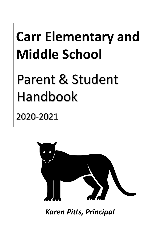# **Carr Elementary and Middle School**

# Parent & Student Handbook

# 2020-2021



*Karen Pitts, Principal*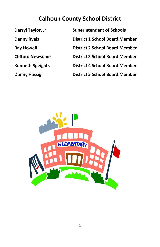# **Calhoun County School District**

**Darryl Taylor, Jr. Superintendent of Schools Danny Ryals District 1 School Board Member Ray Howell District 2 School Board Member Clifford Newsome District 3 School Board Member Kenneth Speights District 4 School Board Member Danny Hassig District 5 School Board Member**

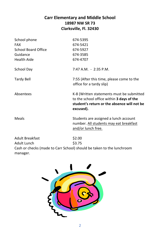# **Carr Elementary and Middle School 18987 NW SR 73 Clarksville, Fl. 32430**

| School phone           | 674-5395                                                                                                                                           |
|------------------------|----------------------------------------------------------------------------------------------------------------------------------------------------|
| <b>FAX</b>             | 674-5421                                                                                                                                           |
| School Board Office    | 674-5927                                                                                                                                           |
| Guidance               | 674-3585                                                                                                                                           |
| <b>Health Aide</b>     | 674-4707                                                                                                                                           |
| School Day             | $7:47$ A.M. $-2:35$ P.M.                                                                                                                           |
| Tardy Bell             | 7:55 (After this time, please come to the<br>office for a tardy slip)                                                                              |
| Absentees              | K-8 (Written statements must be submitted<br>to the school office within 3 days of the<br>student's return or the absence will not be<br>excused). |
| Meals                  | Students are assigned a lunch account<br>number. All students may eat breakfast<br>and/or lunch free.                                              |
| <b>Adult Breakfast</b> | \$2.00                                                                                                                                             |
| Adult Lunch            | \$3.75                                                                                                                                             |

Cash or checks (made to Carr School) should be taken to the lunchroom manager.

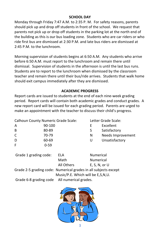#### **SCHOOL DAY**

Monday through Friday 7:47 A.M. to 2:35 P. M. For safety reasons, parents should pick up and drop off students in front of the school. We request that parents not pick up or drop off students in the parking lot at the north end of the building as this is our bus loading zone. Students who are car riders or who ride first bus are dismissed at 2:30 P.M. and late bus riders are dismissed at 2:45 P.M. to the lunchroom.

Morning supervision of students begins at 6:50 A.M. Any students who arrive before 6:50 A.M. must report to the lunchroom and remain there until dismissal. Supervision of students in the afternoon is until the last bus runs. Students are to report to the lunchroom when dismissed by the classroom teacher and remain there until their bus/ride arrives. Students that walk home should exit campus immediately after they are dismissed.

#### **ACADEMIC PROGRESS**

Report cards are issued to students at the end of each nine-week grading period. Report cards will contain both academic grades and conduct grades. A new report card will be issued for each grading period. Parents are urged to make an appointment with the teacher to discuss their child's progress.

| Calhoun County Numeric Grade Scale: |          | Letter Grade Scale: |                   |
|-------------------------------------|----------|---------------------|-------------------|
| A                                   | 90-100   |                     | Excellent         |
| B                                   | 80-89    | S                   | Satisfactory      |
| C                                   | 70-79    | N                   | Needs Improvement |
| D                                   | 60-69    | U                   | Unsatisfactory    |
| F                                   | $0 - 59$ |                     |                   |
|                                     |          |                     |                   |

| Grade 1 grading code:                        | ELA                                                             | <b>Numerical</b>  |  |
|----------------------------------------------|-----------------------------------------------------------------|-------------------|--|
|                                              | Math                                                            | <b>Numerical</b>  |  |
|                                              | All Others                                                      | $E, S, N,$ or $U$ |  |
|                                              | Grade 2-5 grading code: Numerical grades in all subjects except |                   |  |
|                                              | Music/P.E. Which will be E,S,N,U.                               |                   |  |
| Grade 6-8 grading code All numerical grades. |                                                                 |                   |  |

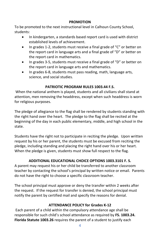#### **PROMOTION**

To be promoted to the next instructional level in Calhoun County School, students:

- In kindergarten, a standards based report card is used with district established levels of achievement.
- In grades 1-2, students must receive a final grade of "C" or better on the report card in language arts and a final grade of "D" or better on the report card in mathematics.
- In grades 3-5, students must receive a final grade of "D" or better on the report card in language arts and mathematics.
- In grades 6-8, students must pass reading, math, language arts, science, and social studies.

# **PATRIOTIC PROGRAM RULES 1003.44 F.S.**

When the national anthem is played, students and all civilians shall stand at attention, men removing the headdress, except when such headdress is worn for religious purposes.

The pledge of allegiance to the flag shall be rendered by students standing with the right hand over the heart. The pledge to the flag shall be recited at the beginning of the day in each public elementary, middle, and high school in the state.

Students have the right not to participate in reciting the pledge. Upon written request by his or her parent, the students must be excused from reciting the pledge, including standing and placing the right hand over his or her heart. When the pledge is given, students must show full respect to the flag.

# **ADDITIONAL EDUCATIONAL CHOICE OPTIONS 1003.3101 F. S.**

A parent may request his or her child be transferred to another classroom teacher by contacting the school's principal by written notice or email. Parents do not have the right to choose a specific classroom teacher.

The school principal must approve or deny the transfer within 2 weeks after the request. If the request for transfer is denied, the school principal must notify the parent by certified mail and specify the reasons for denial.

# **ATTENDANCE POLICY for Grades K-12**

Each parent of a child within the compulsory attendance age shall be responsible for such child's school attendance as required by **FS. 1003.24. Florida Statute 1003.26** requires the parent of a student to justify each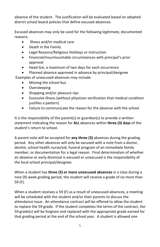absence of the student. The justification will be evaluated based on adopted district school board policies that define excused absences.

Excused absences may only be used for the following legitimate, documented reasons:

- Illness and/or medical care
- Death in the Family
- Legal Reasons/Religious Holidays or instruction
- Financial/insurmountable circumstances with principal's prior approval
- Head lice, a maximum of two days for each occurrence
- Planned absence approved in advance by principal/designee Examples of unexcused absences may include:
	- Missing the school bus
	- Oversleeping
	- Shopping and/or pleasure rips
	- Excessive illness (without physician verification that medical condition justifies a pattern)
	- Failure to communicate the reason for the absence with the school

It is the responsibility of the parent(s) or guardian(s) to provide a written statement indicating the reason for **ALL** absences within **three (3) days** of the student's return to school.

A parent note will be accepted for **any three (3)** absences during the grading period. Any other absences will only be excused with a note from a doctor, dentist, school health nurse/aid, funeral program of an immediate family member, or documentation for a legal reason. Final determination of whether an absence or early dismissal is excused or unexcused is the responsibility of the local school principal/designee.

When a student has **three (3) or more unexcused absences** in a class during a nine (9) week grading period, the student will receive a grade of no more than 59 (F).

When a student receives a 59 (F) as a result of unexcused absences, a meeting will be scheduled with the student and/or their parents to discuss the attendance issue. An attendance contract will be offered to allow the student to replace the 59 grade. If the student completes the terms of the contract, the 59 grade(s) will be forgiven and replaced with the appropriate grade earned for that grading period at the end of the school year.A student is allowed one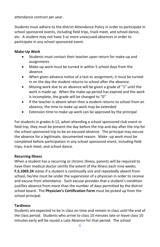attendance contract per year.

Students must adhere to the district Attendance Policy in order to participate in school sponsored events, including field trips, track meet, and school dance, etc. A student may not have 3 or more unexcused absences in order to participate in any school sponsored event.

#### **Make-Up Work**

- Students must contact their teacher upon return for make-up and assignments
- Make-up work must be turned in within 5 school days from the absence
- When given advance notice of a test or assignment, it must be turned in on the day the student returns to school after the absence.
- Missing work due to an absence will be given a grade of "1" until the work is made up. When the make-up period has expired and the work is incomplete, the grade will be changed to "0"
- If the teacher is absent when then a student returns to school from an absence, the time to make up work may be extended
- Extension time to make up work can be approved by the principal

For students in grades 6-12, when attending a school sponsored club event or field trip, they must be present the day before the trip and day after the trip for the school sponsored trip to be an excused absence. The principal may excuse the absence for a legitimate, documented reason. Make -up work must be completed before participation in any school sponsored event, including field trips, track meet, and school dance.

#### **Recurring Illness**

When a student has a recurring or chronic illness, parents will be required to have their medical doctor certify the extent of the illness each nine weeks. **F.S.1003.24** states if a student is continually sick and repeatedly absent from school, he/she must be under the supervision of a physician in order to receive and excuse from attendance. Such excuse provides that a student's condition justifies absence from more than the number of days permitted by the district school board. The **Physician's Certification Form** must be picked up from the school principal.

#### **Tardiness**

Students are expected to be in class on time and remain in class until the end of the class period. Students who arrive to class 10 minutes late or leave class 10 minutes early will be issued a Late Absence for that period. The school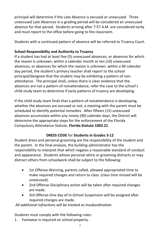principal will determine if the Late Absence is excused or unexcused. Three unexcused Late Absences in a grading period will be considered an unexcused absence for that period. Students arriving after 7:57 A.M. are considered tardy and must report to the office before going to the classroom.

Students with a continued pattern of absence will be referred to Truancy Court.

# **School Responsibility and Authority to Truancy**

If a student has had at least five (5) unexcused absences, or absences for which the reason is unknown, within a calendar month or ten (10) unexcused absences, or absences for which the reason is unknown, within a 90 calendar day period, the student's primary teacher shall report to the school principal/designee that the student may be exhibiting a pattern of nonattendance. The principal shall, unless there is clear evidence that the absences are not a pattern of nonattendance, refer the case to the school's child study team to determine if early patterns of truancy are developing.

If the child study team finds that a pattern of nonattendance is developing, whether the absences are excused or not, a meeting with the parent must be scheduled to identify potential remedies. After fifteen (15) unexcused absences accumulate within any ninety (90) calendar days, the District will determine the appropriate steps for the enforcement of the Florida Compulsory Attendance Statute, **Florida Statute 1003.21**.

### **DRESS CODE** for **Students in Grades 3-12**

Student dress and personal grooming are the responsibility of the student and the parent. In the final analysis, the building administrator has the responsibility to interpret that which negates a reasonable standard of conduct and appearance. Students whose personal attire or grooming distracts or may distract others from schoolwork shall be subject to the following:

- 1st Offense-Warning, parents called, allowed appropriated time to make required changes and return to class. (class time missed will be unexcused).
- 2nd Offense-Disciplinary action will be taken after required changes are made.
- 3rd Offense-One day of In-School Suspension will be assigned after required changes are made.

*All additional infractions will be treated as Insubordination*.

Students must comply with the following rules:

1. Footwear is required on school property.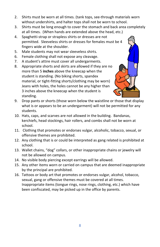- 2. Shirts must be worn at all times. (tank tops, see-through materials worn without undershirts, and halter tops shall not be worn to school.
- 3. Shirts must be long enough to cover the stomach and back area completely at all times. (When hands are extended above the head, etc.)
- 4. Spaghetti-strap or strapless shirts or dresses are not permitted. Sleeveless shirts or dresses for females must be 4 fingers wide at the shoulder.
- 5. Male students may not wear sleeveless shirts.
- 6. Female clothing shall not expose any cleavage.
- 7. A student's attire must cover all undergarments.
- 8. Appropriate shorts and skirts are allowed if they are no more than 5 **inches** above the kneecap when the student is standing. (No biking shorts, spandex material, or tight-fitting shorts/clothing may be worn) Jeans with holes, the holes cannot be any higher than 3 inches above the kneecap when the student is standing.



- 9. Drop pants or shorts (those worn below the waistline or those that display what is or appears to be an undergarment) will not be permitted for any students.
- 10. Hats, caps, and scarves are not allowed in the building. Bandanas, kerchiefs, head stockings, hair rollers, and combs shall not be worn at school.
- 11. Clothing that promotes or endorses vulgar, alcoholic, tobacco, sexual, or offensive themes are prohibited.
- 12. Any clothing that is or could be interpreted as gang related is prohibited at school.
- 13. Wallet chains, "dog" collars, or other inappropriate chains or jewelry will not be allowed on campus.
- 14. No visible body piercing except earrings will be allowed.
- 15. Any other items worn or carried on campus that are deemed inappropriate by the principal are prohibited.
- 16. Tattoos or body art that promotes or endorses vulgar, alcohol, tobacco, sexual, gang or offensive themes must be covered at all times. Inappropriate items (tongue rings, nose rings, clothing, etc.) which have been confiscated, may be picked up in the office by parents.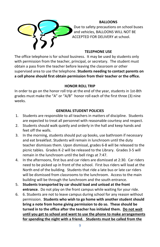

#### **BALLOONS**

Due to safety precautions on school buses and vehicles, BALLOONS WILL NOT BE ACCEPTED FOR DELIVERY at school.

#### **TELEPHONE USE**

The office telephone is for school business. It may be used by students only with permission from the teacher, principal, or secretary. The student must obtain a pass from the teacher before leaving the classroom or other supervised area to use the telephone. **Students needing to contact parents on a cell phone should first obtain permission from their teacher or the office.**

#### **HONOR ROLL TRIP**

In order to go on the honor roll trip at the end of the year, students in 1st-8th grades must make the "A" or "A/B" honor roll each of the first three (3) nine weeks.

#### **GENERAL STUDENT POLICIES**

- 1. Students are responsible to all teachers in matters of discipline. Students are expected to treat all personnel with reasonable courtesy and respect.
- 2. Students should walk quietly and orderly in the hall and keep hands and feet off the walls.
- 3. In the morning, students should put up books, use bathroom if necessary and eat breakfast. Students will remain in lunchroom until the duty teacher dismisses them. Upon dismissal, grades 6-8 will be released to the picnic tables. Grades K-2 will be released to the Library. Grades 3-5 will remain in the lunchroom until the bell rings at 7:47.
- 4. In the afternoons, first bus and car riders are dismissed at 2:30. Car riders need to be picked up in front of the school. First bus riders will load at the North end of the building. Students that ride a late bus or late car riders will be dismissed from classrooms to the lunchroom. Access to the main building will be through the lunchroom and the south entrance.
- 5. **Students transported by car should load and unload at the front entrance**. Do not play on the front campus while waiting for your ride.
- 6. 6. Students are not to leave campus during school for any reason without permission. **Students who wish to go home with another student should bring a note from home giving permission to do so. These should be turned in to the office after the teacher has initialed them. Do not wait until you get to school and want to use the phone to make arrangements for spending the night with a friend. Students must be called from the**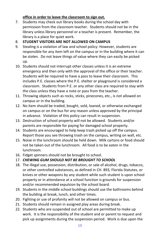#### **office in order to leave the classroom to sign out.**

7. Students may check out library books during the school day with permission from the classroom teacher. Students should not be in the library unless library personnel or a teacher is present. Remember, the library is a place for quiet work.

#### 8. **STUDENT VISITORS ARE NOT ALLOWED ON CAMPUS**

- 9. Stealing is a violation of law and school policy: However, students are responsible for any item left on the campus or in the building where it can be stolen. Do not leave things of value where they can easily be picked up.
- 10. Students should not interrupt other classes unless it is an extreme emergency and then only with the approval of the office or their teacher. Students will be required to have a pass to leave their classroom. This includes P.E. classes where the P.E. shelter or playground is considered a classroom. Students from P.E. or any other class are required to stay with the class unless they have a note or pass from the teacher.
- 11. Throwing objects such as rocks, sticks, pinecones, etc., is not allowed on campus or in the building.
- 12. No item should be traded, bought, sold, loaned, or otherwise exchanged on campus or on the bus for any reason unless approved by the principal in advance. Violation of this policy can result in suspension.
- 13. Destruction of school property will not be allowed. Students and/or parents are responsible for paying for damaged school property.
- 14. Students are encouraged to help keep trash picked up off the campus. Report those you see throwing trash on the campus, writing on wall, etc.
- 15. Noise in the lunchroom should be held down. Milk cartons or food should not be taken out of the lunchroom. All food is to be eaten in the lunchroom.
- 16. Fidget spinners should not be brought to school.
- 17. *CHEWING GUM SHOULD NOT BE BROUGHT TO SCHOOL*
- 18. The illegal use, possession, distribution, or sale of alcohol, drugs, tobacco, or other controlled substances, as defined in CH. 893, Florida Statutes, or knives or other weapons by any student while such student is upon school property or in attendance at a school function is grounds for suspension and/or recommended expulsion by the school board.
- 19. Students in the middle school buildings should use the bathrooms behind the building at break, lunch, and other times.
- 20. Fighting or use of profanity will not be allowed on campus or bus.
- 21. Students should remain in assigned play areas during break.
- 22. Students who are suspended out of school are permitted to make up work. It is the responsibility of the student and or parent to request and pick up assignments during the suspension period. Work is due upon the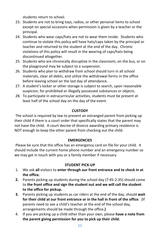students return to school.

- 23. Students are not to bring toys, radios, or other personal items to school except on special occasions when permission is given by a teacher or the principal.
- 24. Students who wear caps/hats are not to wear them inside. Students who continue to violate this policy will have hats/caps taken by the principal or teacher and returned to the student at the end of the day. Chronic violations of this policy will result in the wearing of caps/hats being discontinued altogether.
- 25. Students who are chronically disruptive in the classroom, on the bus, or on the playground may be subject to a suspension.
- 26. Students who plan to withdraw from school should turn in all school materials, clear all debts, and utilize the withdrawal forms in the office before leaving school on the last day of attendance.
- 27. A student's locker or other storage is subject to search, upon reasonable suspicion, for prohibited or illegally possessed substances or objects.
- 28. To participate in extracurricular activities, students must be present at least half of the school day on the day of the event.

#### **CUSTODY**

The school is required by law to prevent an estranged parent from picking up their child if there is a court order that specifically states that the parent may not have the child. A court decree of divorce awarding primary residence is NOT enough to keep the other parent from checking out the child.

#### **EMERGENCIES**

Please be sure that the office has an emergency card on file for your child. It should include the current home phone number and an emergency number so we may get in touch with you or a family member if necessary

### **STUDENT PICK-UP**

- 1. We ask **all** visitors to **enter through our front entrance and to check in at the office.**
- **2.** Parents picking up students during the school day (7:45-2:35) should come to **the front office and sign the student out and we will call the student to the office for pickup.**
- **3.** Parents picking up students as car riders at the end of the day, should **wait for their child at our front entrance or in the hall in front of the office**. (If parents need to see a child's teacher at the end of the school day, arrangements should be made through the office**.)**
- 4. If you are picking up a child other than your own, please **have a note from the parent giving permission for you to pick up their child.**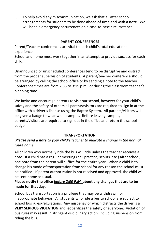5. To help avoid any miscommunication, we ask that all after school arrangements for students to be done **ahead of time and with a note**. We will handle emergency occurrences on a case-to-case circumstance.

#### **PARENT CONFERENCES**

Parent/Teacher conferences are vital to each child's total educational experience.

School and home must work together in an attempt to provide success for each child.

Unannounced or unscheduled conferences tend to be disruptive and distract from the proper supervision of students. A parent/teacher conference should be arranged by calling the school office or by sending a note to the teacher. Conference times are from 2:35 to 3:15 p.m., or during the classroom teacher's planning time.

We invite and encourage parents to visit our school, however for your child's safety and the safety of others all parents/visitors are required to sign in at the office with a driver's license using the Raptor System. All parents/visitors will be given a badge to wear while campus. Before leaving campus, parents/visitors are required to sign out in the office and return the school badge.

#### **TRANSPORTATION**

*Please send a note to your child's teacher to indicate a change in the normal route home.*

All children who normally ride the bus will ride unless the teacher receives a note. If a child has a regular meeting (ball practice, scouts, etc.) after school, one note from the parent will suffice for the entire year. When a child is to change his mode of transportation from school for any reason the school must be notified. If parent authorization is not received and approved, the child will be sent home as usual.

### **Please notify the office** *before 2:00 P.M.* **about any changes that are to be made for that day.**

School bus transportation is a privilege that may be withdrawn for inappropriate behavior. All students who ride a bus to school are subject to school bus rules/regulations. Any misbehavior which distracts the driver is a **VERY SERIOUS VIOLATION** and jeopardizes the safety of everyone. Violation of bus rules may result in stringent disciplinary action, including suspension from riding the bus.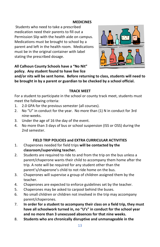#### **MEDICINES**

Students who need to take a prescribed medication need their parents to fill out a Permission Slip with the health aide on campus. Medications must be brought to school by a parent and left in the health room. Medications must be in the original container with label stating the prescribed dosage.



**All Calhoun County Schools have a "No Nit" policy. Any student found to have live lice** 

**and/or nits will be sent home. Before returning to class, students will need to be brought in by a parent or guardian to be checked by a school official.**

#### **TRACK MEET**

For a student to participate in the school or county track meet, students must meet the following criteria:

- 1. 2.0 GPA for the previous semester (all courses).
- 2. No "U" in conduct for the year. No more than (1) N in conduct for 3rd nine-weeks.
- 3. Under the age of 16 the day of the event.
- 4. No more than 3 days of bus or school suspension (ISS or OSS) during the 2nd semester.

#### **FIELD TRIP POLICIES and EXTRA CURRICULAR ACTIVITIES**

- 1. Chaperones needed for field trips **will be contacted by the classroom/supervising teacher.**
- 2. Students are required to ride to and from the trip on the bus unless a parent/chaperone wants their child to accompany them home after the trip. A note will be required for any student other than the parent's/chaperone's child to not ride home on the bus.
- 3. Chaperones will supervise a group of children assigned them by the teacher.
- 4. Chaperones are expected to enforce guidelines set by the teacher.
- 5. Chaperones may be asked to carpool behind the buses.
- 6. No small children or children not involved in the trip may accompany parent/chaperones.
- 7. **In order for a student to accompany their class on a field trip, they must have all schoolwork turned in, no "U's" in conduct for the school year and no more than 3 unexcused absences for that nine weeks.**
- 8. **Students who are chronically disruptive and unmanageable in the**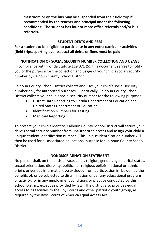**classroom or on the bus may be suspended from their field trip if recommended by the teacher and principal under the following conditions: The student has four or more office referrals and/or bus referrals.** 

#### **STUDENT DEBTS AND FEES**

**For a student to be eligible to participate in any extra-curricular activities (field trips, sporting events, etc.) all debts or fines must be paid.**

**NOTIFICATION OF SOCIAL SECURITY NUMBER COLLECTION AND USAGE** In compliance with Florida Statute 119.071 (5), this document serves to notify you of the purpose for the collection and usage of your child's social security

number by Calhoun County School District.

Calhoun County School District collects and uses your child's social security number only for authorized purposes. Specifically, Calhoun County School District collects your child's social security number for the following purposes:

- District Data Reporting to Florida Department of Education and United States Department of Education
- Identification Numbers for Testing
- Medicaid Reporting

To protect your child's identity, Calhoun County School District will secure your child's social security number from unauthorized access and assign your child a unique student identification number. This unique identification number will then be used for all associated educational purpose for Calhoun County School District.

#### **NONDISCRIMINATION STATEMENT**

No person shall, on the basis of race, color, religion, gender, age, marital status, sexual orientation, disability, political or religious beliefs, national or ethnic origin, or genetic information, be excluded from participation in, be denied the benefits of, or be subjected to discrimination under any educational program or activity, or in any employment conditions or practice conducted by this School District, except as provided by law. The district also provides equal access to its facilities to the Boy Scouts and other patriotic youth group, as required by the Boys Scouts of America Equal Access Act.